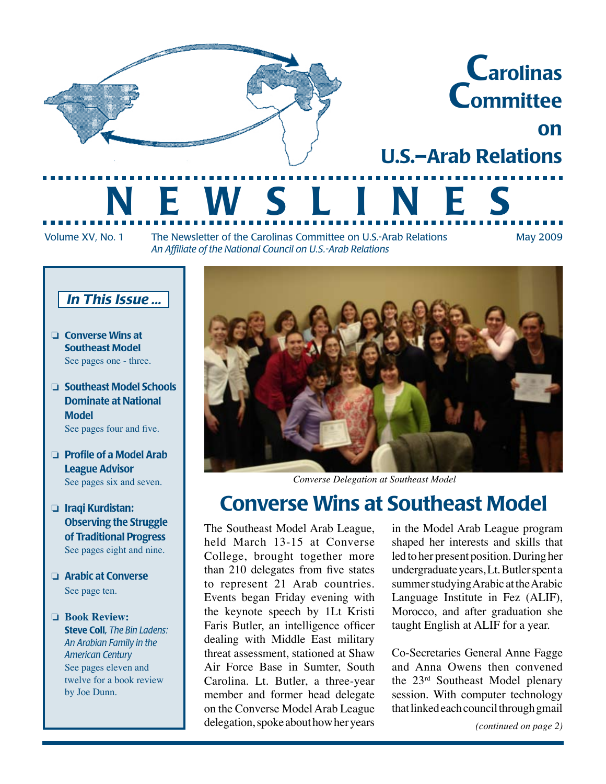

Volume XV, No. 1 The Newsletter of the Carolinas Committee on U.S.-Arab Relations May 2009 *An Affiliate of the National Council on U.S.-Arab Relations*

#### *In This Issue ...*

- ❏ Converse Wins at Southeast Model See pages one - three.
- ❏ Southeast Model Schools Dominate at National Model See pages four and five.
- ❏ Profile of a Model Arab League Advisor See pages six and seven.
- ❏ Iraqi Kurdistan: Observing the Struggle of Traditional Progress See pages eight and nine.
- □ Arabic at Converse See page ten.
- ❏ **Book Review:** Steve Coll, *The Bin Ladens: An Arabian Family in the American Century* See pages eleven and twelve for a book review by Joe Dunn.



*Converse Delegation at Southeast Model*

## Converse Wins at Southeast Model

The Southeast Model Arab League, held March 13-15 at Converse College, brought together more than 210 delegates from five states to represent 21 Arab countries. Events began Friday evening with the keynote speech by 1Lt Kristi Faris Butler, an intelligence officer dealing with Middle East military threat assessment, stationed at Shaw Air Force Base in Sumter, South Carolina. Lt. Butler, a three-year member and former head delegate on the Converse Model Arab League delegation, spoke about how her years

in the Model Arab League program shaped her interests and skills that led to her present position. During her undergraduate years, Lt. Butler spent a summer studying Arabic at the Arabic Language Institute in Fez (ALIF), Morocco, and after graduation she taught English at ALIF for a year.

Co-Secretaries General Anne Fagge and Anna Owens then convened the 23rd Southeast Model plenary session. With computer technology that linked each council through gmail

*(continued on page 2)*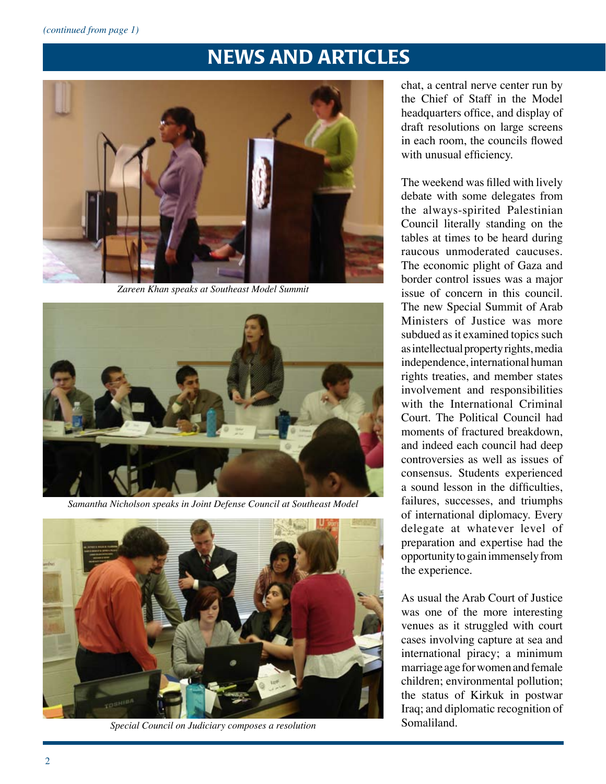

*Zareen Khan speaks at Southeast Model Summit*



*Samantha Nicholson speaks in Joint Defense Council at Southeast Model*



*Special Council on Judiciary composes a resolution*

chat, a central nerve center run by the Chief of Staff in the Model headquarters office, and display of draft resolutions on large screens in each room, the councils flowed with unusual efficiency.

The weekend was filled with lively debate with some delegates from the always-spirited Palestinian Council literally standing on the tables at times to be heard during raucous unmoderated caucuses. The economic plight of Gaza and border control issues was a major issue of concern in this council. The new Special Summit of Arab Ministers of Justice was more subdued as it examined topics such as intellectual property rights, media independence, international human rights treaties, and member states involvement and responsibilities with the International Criminal Court. The Political Council had moments of fractured breakdown, and indeed each council had deep controversies as well as issues of consensus. Students experienced a sound lesson in the difficulties, failures, successes, and triumphs of international diplomacy. Every delegate at whatever level of preparation and expertise had the opportunity to gain immensely from the experience.

As usual the Arab Court of Justice was one of the more interesting venues as it struggled with court cases involving capture at sea and international piracy; a minimum marriage age for women and female children; environmental pollution; the status of Kirkuk in postwar Iraq; and diplomatic recognition of Somaliland.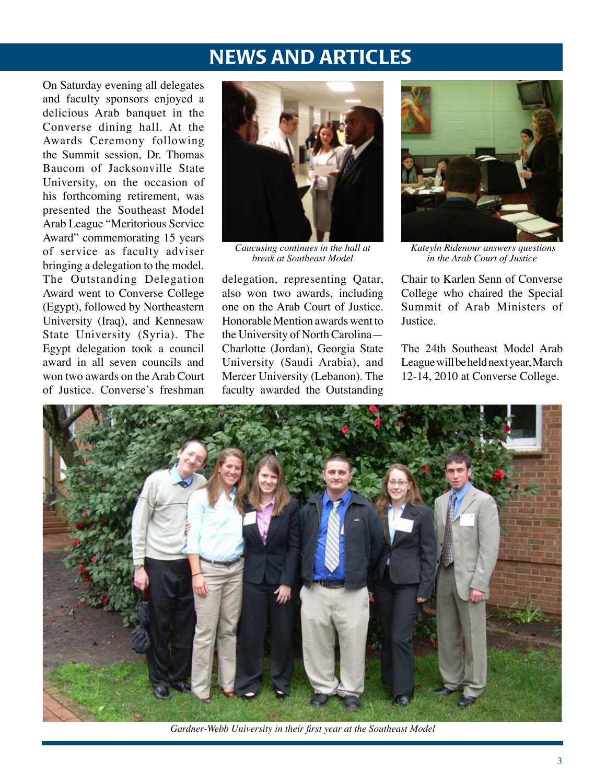On Saturday evening all delegates and faculty sponsors enjoyed a delicious Arab banquet in the Converse dining hall. At the Awards Ceremony following the Summit session, Dr. Thomas Baucom of Jacksonville State University, on the occasion of his forthcoming retirement, was presented the Southeast Model Arab League "Meritorious Service Award" commemorating 15 years of service as faculty adviser bringing a delegation to the model. The Outstanding Delegation Award went to Converse College (Egypt), followed by Northeastern University (Iraq), and Kennesaw State University (Syria). The Egypt delegation took a council award in all seven councils and won two awards on the Arab Court of Justice. Converse's freshman



*Caucusing continues in the hall at break at Southeast Model*

delegation, representing Qatar, also won two awards, including one on the Arab Court of Justice. Honorable Mention awards went to the University of North Carolina— Charlotte (Jordan), Georgia State University (Saudi Arabia), and Mercer University (Lebanon). The faculty awarded the Outstanding



 *Kateyln Ridenour answers questions in the Arab Court of Justice*

Chair to Karlen Senn of Converse College who chaired the Special Summit of Arab Ministers of Justice.

The 24th Southeast Model Arab League will be held next year, March 12-14, 2010 at Converse College.



*Gardner-Webb University in their first year at the Southeast Model*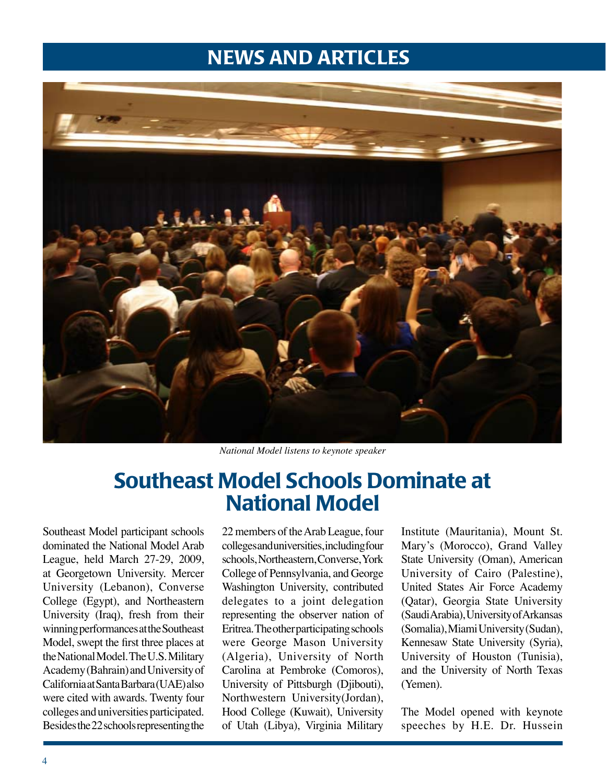

*National Model listens to keynote speaker*

## Southeast Model Schools Dominate at National Model

Southeast Model participant schools dominated the National Model Arab League, held March 27-29, 2009, at Georgetown University. Mercer University (Lebanon), Converse College (Egypt), and Northeastern University (Iraq), fresh from their winning performances at the Southeast Model, swept the first three places at the National Model. The U.S. Military Academy (Bahrain) and University of California at Santa Barbara (UAE) also were cited with awards. Twenty four colleges and universities participated. Besides the 22 schools representing the

22 members of the Arab League, four colleges and universities, including four schools, Northeastern, Converse, York College of Pennsylvania, and George Washington University, contributed delegates to a joint delegation representing the observer nation of Eritrea. The other participating schools were George Mason University (Algeria), University of North Carolina at Pembroke (Comoros), University of Pittsburgh (Djibouti), Northwestern University(Jordan), Hood College (Kuwait), University of Utah (Libya), Virginia Military

Institute (Mauritania), Mount St. Mary's (Morocco), Grand Valley State University (Oman), American University of Cairo (Palestine), United States Air Force Academy (Qatar), Georgia State University (Saudi Arabia), University of Arkansas (Somalia), Miami University (Sudan), Kennesaw State University (Syria), University of Houston (Tunisia), and the University of North Texas (Yemen).

The Model opened with keynote speeches by H.E. Dr. Hussein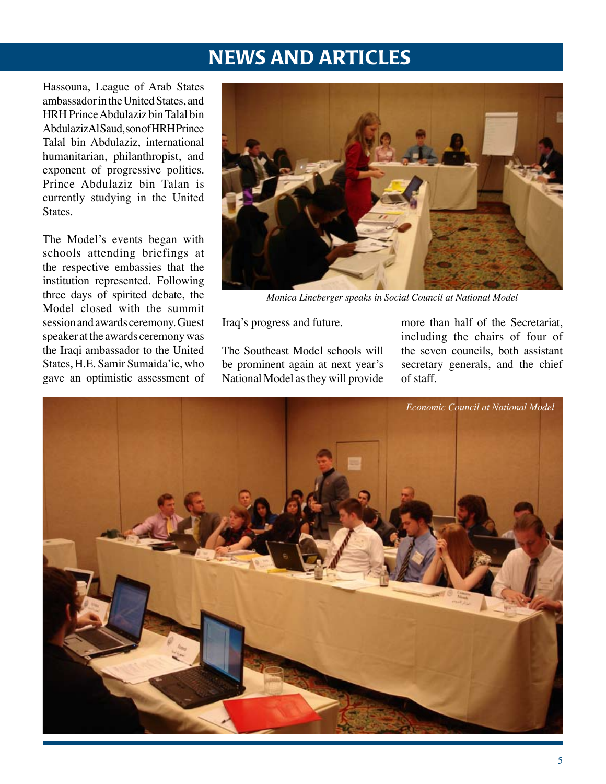Hassouna, League of Arab States ambassador in the United States, and HRH Prince Abdulaziz bin Talal bin Abdulaziz Al Saud, son of HRH Prince Talal bin Abdulaziz, international humanitarian, philanthropist, and exponent of progressive politics. Prince Abdulaziz bin Talan is currently studying in the United States.

The Model's events began with schools attending briefings at the respective embassies that the institution represented. Following three days of spirited debate, the Model closed with the summit session and awards ceremony. Guest speaker at the awards ceremony was the Iraqi ambassador to the United States, H.E. Samir Sumaida'ie, who gave an optimistic assessment of



*Monica Lineberger speaks in Social Council at National Model*

Iraq's progress and future.

The Southeast Model schools will be prominent again at next year's National Model as they will provide more than half of the Secretariat, including the chairs of four of the seven councils, both assistant secretary generals, and the chief of staff.

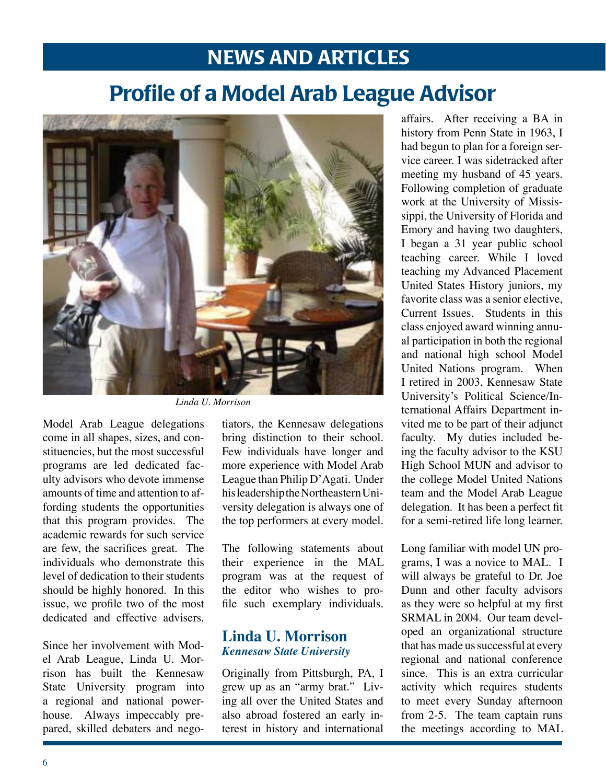# Profile of a Model Arab League Advisor



*Linda U. Morrison*

Model Arab League delegations come in all shapes, sizes, and constituencies, but the most successful programs are led dedicated faculty advisors who devote immense amounts of time and attention to affording students the opportunities that this program provides. The academic rewards for such service are few, the sacrifices great. The individuals who demonstrate this level of dedication to their students should be highly honored. In this issue, we profile two of the most dedicated and effective advisers.

Since her involvement with Model Arab League, Linda U. Morrison has built the Kennesaw State University program into a regional and national powerhouse. Always impeccably prepared, skilled debaters and nego-

tiators, the Kennesaw delegations bring distinction to their school. Few individuals have longer and more experience with Model Arab League than Philip D'Agati. Under his leadership the Northeastern University delegation is always one of the top performers at every model.

The following statements about their experience in the MAL program was at the request of the editor who wishes to profile such exemplary individuals.

#### **Linda U. Morrison** *Kennesaw State University*

Originally from Pittsburgh, PA, I grew up as an "army brat." Living all over the United States and also abroad fostered an early interest in history and international

affairs. After receiving a BA in history from Penn State in 1963, I had begun to plan for a foreign service career. I was sidetracked after meeting my husband of 45 years. Following completion of graduate work at the University of Mississippi, the University of Florida and Emory and having two daughters, I began a 31 year public school teaching career. While I loved teaching my Advanced Placement United States History juniors, my favorite class was a senior elective, Current Issues. Students in this class enjoyed award winning annual participation in both the regional and national high school Model United Nations program. When I retired in 2003, Kennesaw State University's Political Science/International Affairs Department invited me to be part of their adjunct faculty. My duties included being the faculty advisor to the KSU High School MUN and advisor to the college Model United Nations team and the Model Arab League delegation. It has been a perfect fit for a semi-retired life long learner.

Long familiar with model UN programs, I was a novice to MAL. I will always be grateful to Dr. Joe Dunn and other faculty advisors as they were so helpful at my first SRMAL in 2004. Our team developed an organizational structure that has made us successful at every regional and national conference since. This is an extra curricular activity which requires students to meet every Sunday afternoon from 2-5. The team captain runs the meetings according to MAL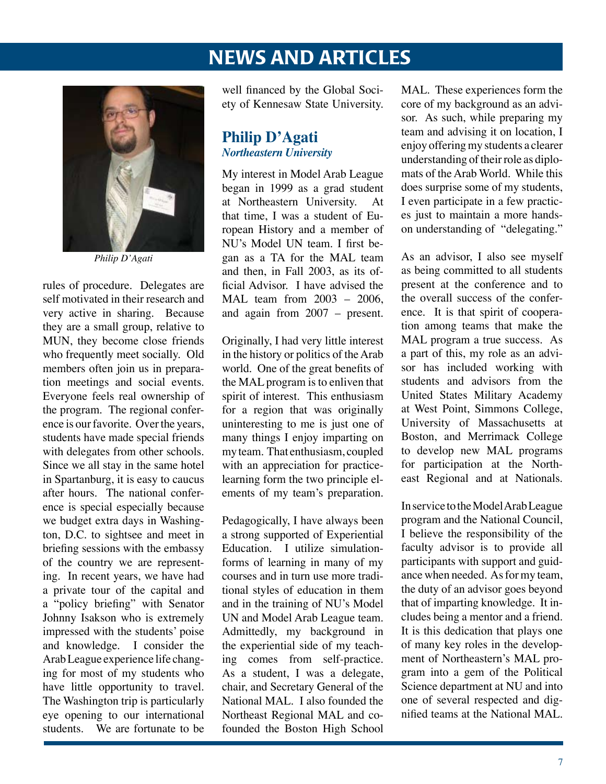

*Philip D'Agati*

rules of procedure. Delegates are self motivated in their research and very active in sharing. Because they are a small group, relative to MUN, they become close friends who frequently meet socially. Old members often join us in preparation meetings and social events. Everyone feels real ownership of the program. The regional conference is our favorite. Over the years, students have made special friends with delegates from other schools. Since we all stay in the same hotel in Spartanburg, it is easy to caucus after hours. The national conference is special especially because we budget extra days in Washington, D.C. to sightsee and meet in briefing sessions with the embassy of the country we are representing. In recent years, we have had a private tour of the capital and a "policy briefing" with Senator Johnny Isakson who is extremely impressed with the students' poise and knowledge. I consider the Arab League experience life changing for most of my students who have little opportunity to travel. The Washington trip is particularly eye opening to our international students. We are fortunate to be

well financed by the Global Society of Kennesaw State University.

#### **Philip D'Agati** *Northeastern University*

My interest in Model Arab League began in 1999 as a grad student at Northeastern University. that time, I was a student of European History and a member of NU's Model UN team. I first began as a TA for the MAL team and then, in Fall 2003, as its official Advisor. I have advised the MAL team from 2003 – 2006, and again from 2007 – present.

Originally, I had very little interest in the history or politics of the Arab world. One of the great benefits of the MAL program is to enliven that spirit of interest. This enthusiasm for a region that was originally uninteresting to me is just one of many things I enjoy imparting on my team. That enthusiasm, coupled with an appreciation for practicelearning form the two principle elements of my team's preparation.

Pedagogically, I have always been a strong supported of Experiential Education. I utilize simulationforms of learning in many of my courses and in turn use more traditional styles of education in them and in the training of NU's Model UN and Model Arab League team. Admittedly, my background in the experiential side of my teaching comes from self-practice. As a student, I was a delegate, chair, and Secretary General of the National MAL. I also founded the Northeast Regional MAL and cofounded the Boston High School

MAL. These experiences form the core of my background as an advisor. As such, while preparing my team and advising it on location, I enjoy offering my students a clearer understanding of their role as diplomats of the Arab World. While this does surprise some of my students, I even participate in a few practices just to maintain a more handson understanding of "delegating."

As an advisor, I also see myself as being committed to all students present at the conference and to the overall success of the conference. It is that spirit of cooperation among teams that make the MAL program a true success. As a part of this, my role as an advisor has included working with students and advisors from the United States Military Academy at West Point, Simmons College, University of Massachusetts at Boston, and Merrimack College to develop new MAL programs for participation at the Northeast Regional and at Nationals.

In service to the Model Arab League program and the National Council, I believe the responsibility of the faculty advisor is to provide all participants with support and guidance when needed. As for my team, the duty of an advisor goes beyond that of imparting knowledge. It includes being a mentor and a friend. It is this dedication that plays one of many key roles in the development of Northeastern's MAL program into a gem of the Political Science department at NU and into one of several respected and dignified teams at the National MAL.

i<br>I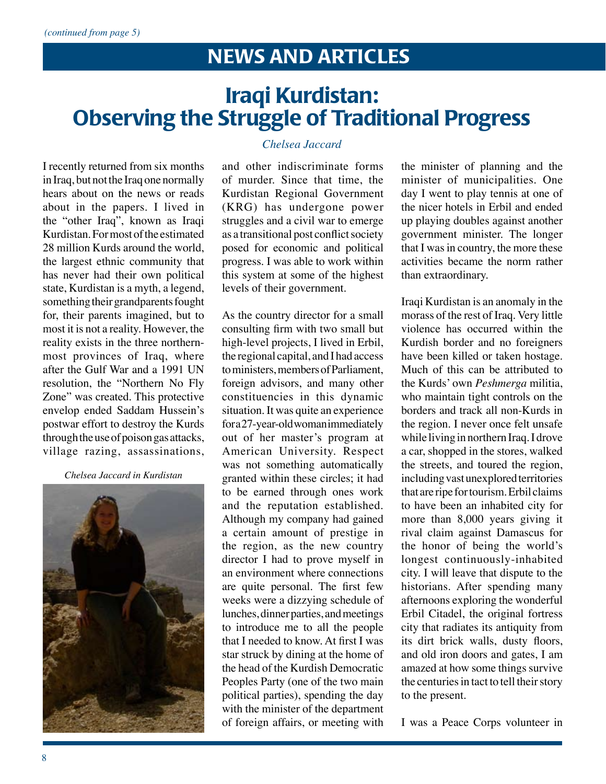# Iraqi Kurdistan: Observing the Struggle of Traditional Progress

I recently returned from six months in Iraq, but not the Iraq one normally hears about on the news or reads about in the papers. I lived in the "other Iraq", known as Iraqi Kurdistan. For most of the estimated 28 million Kurds around the world, the largest ethnic community that has never had their own political state, Kurdistan is a myth, a legend, something their grandparents fought for, their parents imagined, but to most it is not a reality. However, the reality exists in the three northernmost provinces of Iraq, where after the Gulf War and a 1991 UN resolution, the "Northern No Fly Zone" was created. This protective envelop ended Saddam Hussein's postwar effort to destroy the Kurds through the use of poison gas attacks, village razing, assassinations,

#### *Chelsea Jaccard in Kurdistan*



#### *Chelsea Jaccard*

and other indiscriminate forms of murder. Since that time, the Kurdistan Regional Government (KRG) has undergone power struggles and a civil war to emerge as a transitional post conflict society posed for economic and political progress. I was able to work within this system at some of the highest levels of their government.

As the country director for a small consulting firm with two small but high-level projects, I lived in Erbil, the regional capital, and I had access to ministers, members of Parliament, foreign advisors, and many other constituencies in this dynamic situation. It was quite an experience for a 27-year-old woman immediately out of her master's program at American University. Respect was not something automatically granted within these circles; it had to be earned through ones work and the reputation established. Although my company had gained a certain amount of prestige in the region, as the new country director I had to prove myself in an environment where connections are quite personal. The first few weeks were a dizzying schedule of lunches, dinner parties, and meetings to introduce me to all the people that I needed to know. At first I was star struck by dining at the home of the head of the Kurdish Democratic Peoples Party (one of the two main political parties), spending the day with the minister of the department of foreign affairs, or meeting with

the minister of planning and the minister of municipalities. One day I went to play tennis at one of the nicer hotels in Erbil and ended up playing doubles against another government minister. The longer that I was in country, the more these activities became the norm rather than extraordinary.

Iraqi Kurdistan is an anomaly in the morass of the rest of Iraq. Very little violence has occurred within the Kurdish border and no foreigners have been killed or taken hostage. Much of this can be attributed to the Kurds' own *Peshmerga* militia, who maintain tight controls on the borders and track all non-Kurds in the region. I never once felt unsafe while living in northern Iraq. I drove a car, shopped in the stores, walked the streets, and toured the region, including vast unexplored territories that are ripe for tourism. Erbil claims to have been an inhabited city for more than 8,000 years giving it rival claim against Damascus for the honor of being the world's longest continuously-inhabited city. I will leave that dispute to the historians. After spending many afternoons exploring the wonderful Erbil Citadel, the original fortress city that radiates its antiquity from its dirt brick walls, dusty floors, and old iron doors and gates, I am amazed at how some things survive the centuries in tact to tell their story to the present.

I was a Peace Corps volunteer in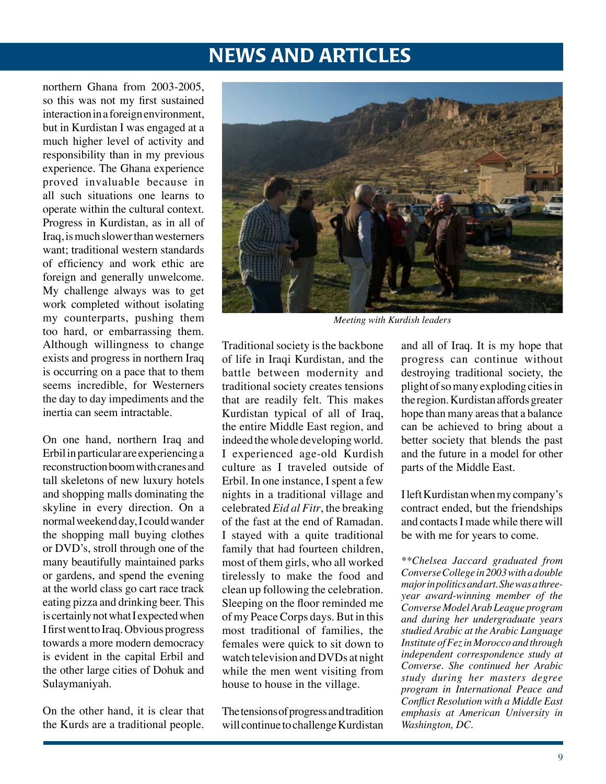northern Ghana from 2003-2005, so this was not my first sustained interaction in a foreign environment, but in Kurdistan I was engaged at a much higher level of activity and responsibility than in my previous experience. The Ghana experience proved invaluable because in all such situations one learns to operate within the cultural context. Progress in Kurdistan, as in all of Iraq, is much slower than westerners want; traditional western standards of efficiency and work ethic are foreign and generally unwelcome. My challenge always was to get work completed without isolating my counterparts, pushing them too hard, or embarrassing them. Although willingness to change exists and progress in northern Iraq is occurring on a pace that to them seems incredible, for Westerners the day to day impediments and the inertia can seem intractable.

On one hand, northern Iraq and Erbil in particular are experiencing a reconstruction boom with cranes and tall skeletons of new luxury hotels and shopping malls dominating the skyline in every direction. On a normal weekend day, I could wander the shopping mall buying clothes or DVD's, stroll through one of the many beautifully maintained parks or gardens, and spend the evening at the world class go cart race track eating pizza and drinking beer. This is certainly not what I expected when I first went to Iraq. Obvious progress towards a more modern democracy is evident in the capital Erbil and the other large cities of Dohuk and Sulaymaniyah.

On the other hand, it is clear that the Kurds are a traditional people.



*Meeting with Kurdish leaders*

Traditional society is the backbone of life in Iraqi Kurdistan, and the battle between modernity and traditional society creates tensions that are readily felt. This makes Kurdistan typical of all of Iraq, the entire Middle East region, and indeed the whole developing world. I experienced age-old Kurdish culture as I traveled outside of Erbil. In one instance, I spent a few nights in a traditional village and celebrated *Eid al Fitr*, the breaking of the fast at the end of Ramadan. I stayed with a quite traditional family that had fourteen children, most of them girls, who all worked tirelessly to make the food and clean up following the celebration. Sleeping on the floor reminded me of my Peace Corps days. But in this most traditional of families, the females were quick to sit down to watch television and DVDs at night while the men went visiting from house to house in the village.

The tensions of progress and tradition will continue to challenge Kurdistan

and all of Iraq. It is my hope that progress can continue without destroying traditional society, the plight of so many exploding cities in the region. Kurdistan affords greater hope than many areas that a balance can be achieved to bring about a better society that blends the past and the future in a model for other parts of the Middle East.

I left Kurdistan when my company's contract ended, but the friendships and contacts I made while there will be with me for years to come.

*\*\*Chelsea Jaccard graduated from Converse College in 2003 with a double major in politics and art. She was a threeyear award-winning member of the Converse Model Arab League program and during her undergraduate years studied Arabic at the Arabic Language Institute of Fez in Morocco and through independent correspondence study at Converse. She continued her Arabic study during her masters degree program in International Peace and Conflict Resolution with a Middle East emphasis at American University in Washington, DC.*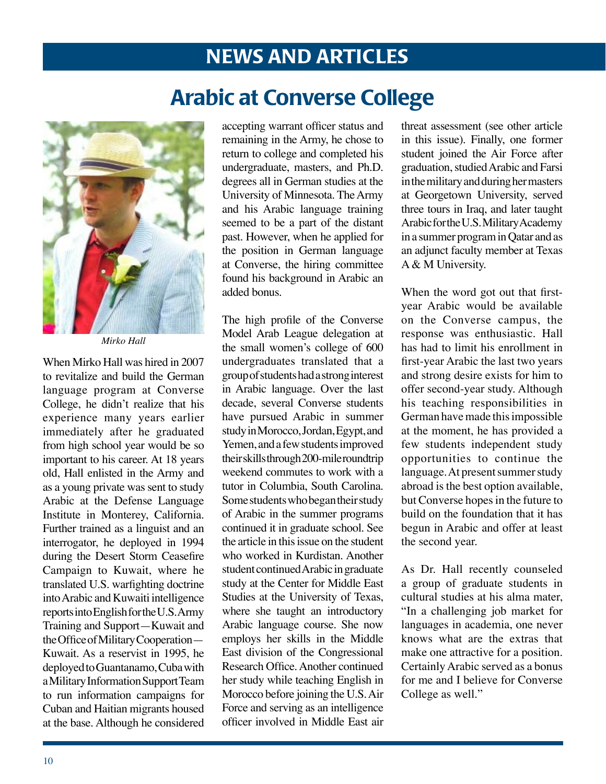Arabic at Converse College



*Mirko Hall*

When Mirko Hall was hired in 2007 to revitalize and build the German language program at Converse College, he didn't realize that his experience many years earlier immediately after he graduated from high school year would be so important to his career. At 18 years old, Hall enlisted in the Army and as a young private was sent to study Arabic at the Defense Language Institute in Monterey, California. Further trained as a linguist and an interrogator, he deployed in 1994 during the Desert Storm Ceasefire Campaign to Kuwait, where he translated U.S. warfighting doctrine into Arabic and Kuwaiti intelligence reports into English for the U.S. Army Training and Support—Kuwait and the Office of Military Cooperation— Kuwait. As a reservist in 1995, he deployed to Guantanamo, Cuba with a Military Information Support Team to run information campaigns for Cuban and Haitian migrants housed at the base. Although he considered

accepting warrant officer status and remaining in the Army, he chose to return to college and completed his undergraduate, masters, and Ph.D. degrees all in German studies at the University of Minnesota. The Army and his Arabic language training seemed to be a part of the distant past. However, when he applied for the position in German language at Converse, the hiring committee found his background in Arabic an added bonus.

The high profile of the Converse Model Arab League delegation at the small women's college of 600 undergraduates translated that a group of students had a strong interest in Arabic language. Over the last decade, several Converse students have pursued Arabic in summer study in Morocco, Jordan, Egypt, and Yemen, and a few students improved their skills through 200-mile roundtrip weekend commutes to work with a tutor in Columbia, South Carolina. Some students who began their study of Arabic in the summer programs continued it in graduate school. See the article in this issue on the student who worked in Kurdistan. Another student continued Arabic in graduate study at the Center for Middle East Studies at the University of Texas, where she taught an introductory Arabic language course. She now employs her skills in the Middle East division of the Congressional Research Office. Another continued her study while teaching English in Morocco before joining the U.S. Air Force and serving as an intelligence officer involved in Middle East air

threat assessment (see other article in this issue). Finally, one former student joined the Air Force after graduation, studied Arabic and Farsi in the military and during her masters at Georgetown University, served three tours in Iraq, and later taught Arabic for the U.S. Military Academy in a summer program in Qatar and as an adjunct faculty member at Texas A & M University.

When the word got out that firstyear Arabic would be available on the Converse campus, the response was enthusiastic. Hall has had to limit his enrollment in first-year Arabic the last two years and strong desire exists for him to offer second-year study. Although his teaching responsibilities in German have made this impossible at the moment, he has provided a few students independent study opportunities to continue the language. At present summer study abroad is the best option available, but Converse hopes in the future to build on the foundation that it has begun in Arabic and offer at least the second year.

As Dr. Hall recently counseled a group of graduate students in cultural studies at his alma mater, "In a challenging job market for languages in academia, one never knows what are the extras that make one attractive for a position. Certainly Arabic served as a bonus for me and I believe for Converse College as well."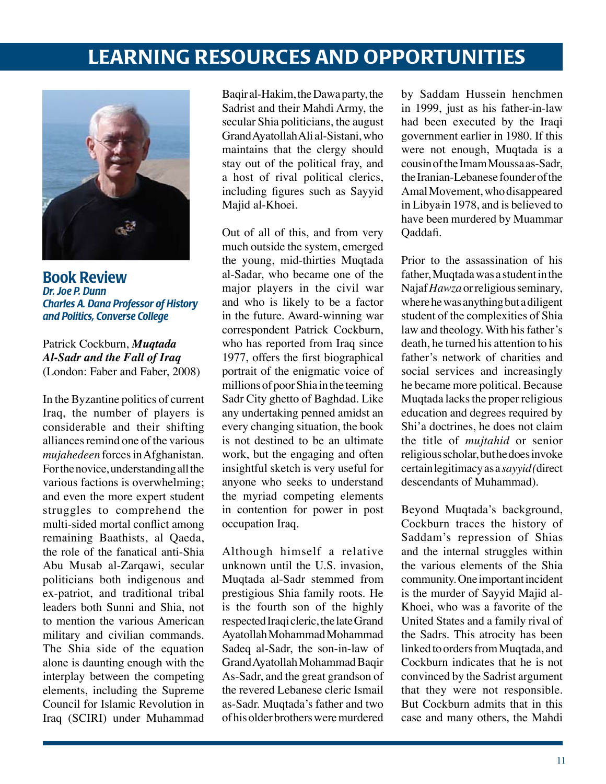## **LEARNING RESOURCES AND OPPORTUNITIES**



Book Review *Dr. Joe P. Dunn Charles A. Dana Professor of History and Politics, Converse College*

Patrick Cockburn, *Muqtada Al-Sadr and the Fall of Iraq* (London: Faber and Faber, 2008)

In the Byzantine politics of current Iraq, the number of players is considerable and their shifting alliances remind one of the various *mujahedeen* forces in Afghanistan. For the novice, understanding all the various factions is overwhelming; and even the more expert student struggles to comprehend the multi-sided mortal conflict among remaining Baathists, al Qaeda, the role of the fanatical anti-Shia Abu Musab al-Zarqawi, secular politicians both indigenous and ex-patriot, and traditional tribal leaders both Sunni and Shia, not to mention the various American military and civilian commands. The Shia side of the equation alone is daunting enough with the interplay between the competing elements, including the Supreme Council for Islamic Revolution in Iraq (SCIRI) under Muhammad

Baqir al-Hakim, the Dawa party, the Sadrist and their Mahdi Army, the secular Shia politicians, the august Grand Ayatollah Ali al-Sistani, who maintains that the clergy should stay out of the political fray, and a host of rival political clerics, including figures such as Sayyid Majid al-Khoei.

Out of all of this, and from very much outside the system, emerged the young, mid-thirties Muqtada al-Sadar, who became one of the major players in the civil war and who is likely to be a factor in the future. Award-winning war correspondent Patrick Cockburn, who has reported from Iraq since 1977, offers the first biographical portrait of the enigmatic voice of millions of poor Shia in the teeming Sadr City ghetto of Baghdad. Like any undertaking penned amidst an every changing situation, the book is not destined to be an ultimate work, but the engaging and often insightful sketch is very useful for anyone who seeks to understand the myriad competing elements in contention for power in post occupation Iraq.

Although himself a relative unknown until the U.S. invasion, Muqtada al-Sadr stemmed from prestigious Shia family roots. He is the fourth son of the highly respected Iraqi cleric, the late Grand Ayatollah Mohammad Mohammad Sadeq al-Sadr, the son-in-law of Grand Ayatollah Mohammad Baqir As-Sadr, and the great grandson of the revered Lebanese cleric Ismail as-Sadr. Muqtada's father and two of his older brothers were murdered

by Saddam Hussein henchmen in 1999, just as his father-in-law had been executed by the Iraqi government earlier in 1980. If this were not enough, Muqtada is a cousin of the Imam Moussa as-Sadr, the Iranian-Lebanese founder of the Amal Movement, who disappeared in Libyain 1978, and is believed to have been murdered by Muammar Qaddafi.

Prior to the assassination of his father, Muqtada was a student in the Najaf *Hawza* or religious seminary, where he was anything but a diligent student of the complexities of Shia law and theology. With his father's death, he turned his attention to his father's network of charities and social services and increasingly he became more political. Because Muqtada lacks the proper religious education and degrees required by Shi'a doctrines, he does not claim the title of *mujtahid* or senior religious scholar, but he does invoke certain legitimacy as a *sayyid (*direct descendants of Muhammad).

Beyond Muqtada's background, Cockburn traces the history of Saddam's repression of Shias and the internal struggles within the various elements of the Shia community. One important incident is the murder of Sayyid Majid al-Khoei, who was a favorite of the United States and a family rival of the Sadrs. This atrocity has been linked to orders from Muqtada, and Cockburn indicates that he is not convinced by the Sadrist argument that they were not responsible. But Cockburn admits that in this case and many others, the Mahdi